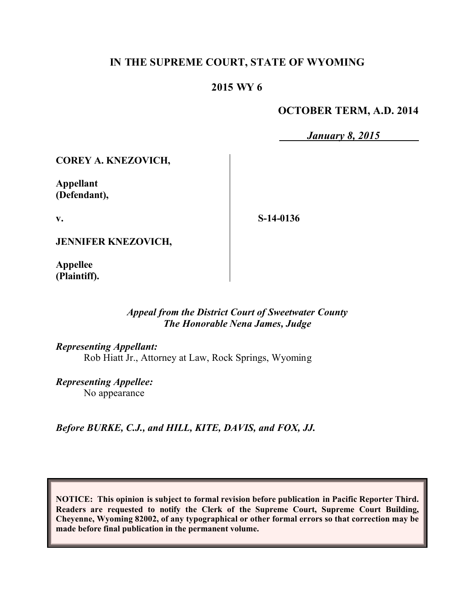# **IN THE SUPREME COURT, STATE OF WYOMING**

# **2015 WY 6**

# **OCTOBER TERM, A.D. 2014**

*January 8, 2015*

**COREY A. KNEZOVICH,**

**Appellant (Defendant),**

**v.**

**S-14-0136**

**JENNIFER KNEZOVICH,**

**Appellee (Plaintiff).**

## *Appeal from the District Court of Sweetwater County The Honorable Nena James, Judge*

*Representing Appellant:* Rob Hiatt Jr., Attorney at Law, Rock Springs, Wyoming

*Representing Appellee:* No appearance

*Before BURKE, C.J., and HILL, KITE, DAVIS, and FOX, JJ.*

**NOTICE: This opinion is subject to formal revision before publication in Pacific Reporter Third. Readers are requested to notify the Clerk of the Supreme Court, Supreme Court Building, Cheyenne, Wyoming 82002, of any typographical or other formal errors so that correction may be made before final publication in the permanent volume.**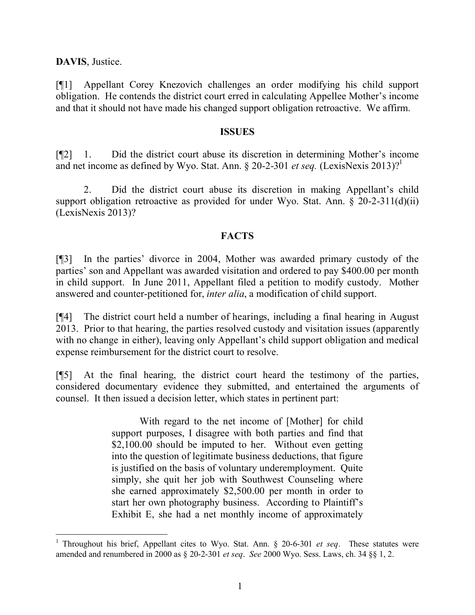**DAVIS**, Justice.

[¶1] Appellant Corey Knezovich challenges an order modifying his child support obligation. He contends the district court erred in calculating Appellee Mother's income and that it should not have made his changed support obligation retroactive. We affirm.

### **ISSUES**

[¶2] 1. Did the district court abuse its discretion in determining Mother's income and net income as defined by Wyo. Stat. Ann.  $\S 20-2-301$  *et seq.* (LexisNexis 2013)?<sup>1</sup>

2. Did the district court abuse its discretion in making Appellant's child support obligation retroactive as provided for under Wyo. Stat. Ann. § 20-2-311(d)(ii) (LexisNexis 2013)?

## **FACTS**

[¶3] In the parties' divorce in 2004, Mother was awarded primary custody of the parties' son and Appellant was awarded visitation and ordered to pay \$400.00 per month in child support. In June 2011, Appellant filed a petition to modify custody. Mother answered and counter-petitioned for, *inter alia*, a modification of child support.

[¶4] The district court held a number of hearings, including a final hearing in August 2013. Prior to that hearing, the parties resolved custody and visitation issues (apparently with no change in either), leaving only Appellant's child support obligation and medical expense reimbursement for the district court to resolve.

[¶5] At the final hearing, the district court heard the testimony of the parties, considered documentary evidence they submitted, and entertained the arguments of counsel. It then issued a decision letter, which states in pertinent part:

> With regard to the net income of [Mother] for child support purposes, I disagree with both parties and find that \$2,100.00 should be imputed to her. Without even getting into the question of legitimate business deductions, that figure is justified on the basis of voluntary underemployment. Quite simply, she quit her job with Southwest Counseling where she earned approximately \$2,500.00 per month in order to start her own photography business. According to Plaintiff's Exhibit E, she had a net monthly income of approximately

<sup>1</sup> Throughout his brief, Appellant cites to Wyo. Stat. Ann. § 20-6-301 *et seq*. These statutes were amended and renumbered in 2000 as § 20-2-301 *et seq*. *See* 2000 Wyo. Sess. Laws, ch. 34 §§ 1, 2.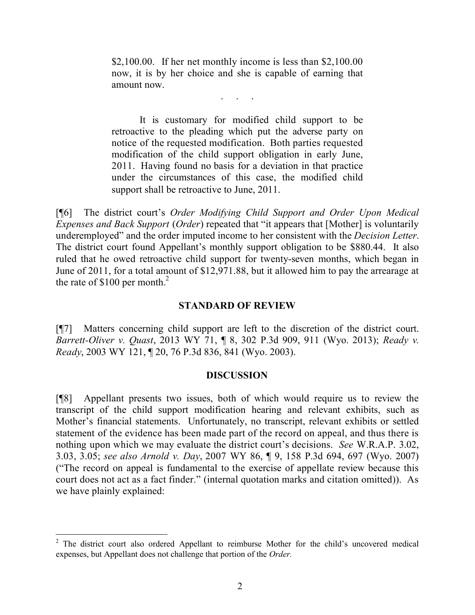$$2,100.00$ . If her net monthly income is less than  $$2,100.00$ now, it is by her choice and she is capable of earning that amount now.

. . . . .<br>. . . . . .

It is customary for modified child support to be retroactive to the pleading which put the adverse party on notice of the requested modification. Both parties requested modification of the child support obligation in early June, 2011. Having found no basis for a deviation in that practice under the circumstances of this case, the modified child support shall be retroactive to June, 2011.

[¶6] The district court's *Order Modifying Child Support and Order Upon Medical Expenses and Back Support* (*Order*) repeated that "it appears that [Mother] is voluntarily underemployed" and the order imputed income to her consistent with the *Decision Letter*. The district court found Appellant's monthly support obligation to be \$880.44. It also ruled that he owed retroactive child support for twenty-seven months, which began in June of 2011, for a total amount of \$12,971.88, but it allowed him to pay the arrearage at the rate of  $$100$  per month.<sup>2</sup>

### **STANDARD OF REVIEW**

[¶7] Matters concerning child support are left to the discretion of the district court. *Barrett-Oliver v. Quast*, 2013 WY 71, ¶ 8, 302 P.3d 909, 911 (Wyo. 2013); *Ready v. Ready*, 2003 WY 121, ¶ 20, 76 P.3d 836, 841 (Wyo. 2003).

#### **DISCUSSION**

[¶8] Appellant presents two issues, both of which would require us to review the transcript of the child support modification hearing and relevant exhibits, such as Mother's financial statements. Unfortunately, no transcript, relevant exhibits or settled statement of the evidence has been made part of the record on appeal, and thus there is nothing upon which we may evaluate the district court's decisions. *See* W.R.A.P. 3.02, 3.03, 3.05; *see also Arnold v. Day*, 2007 WY 86, ¶ 9, 158 P.3d 694, 697 (Wyo. 2007) ("The record on appeal is fundamental to the exercise of appellate review because this court does not act as a fact finder." (internal quotation marks and citation omitted)). As we have plainly explained:

 $2$  The district court also ordered Appellant to reimburse Mother for the child's uncovered medical expenses, but Appellant does not challenge that portion of the *Order.*